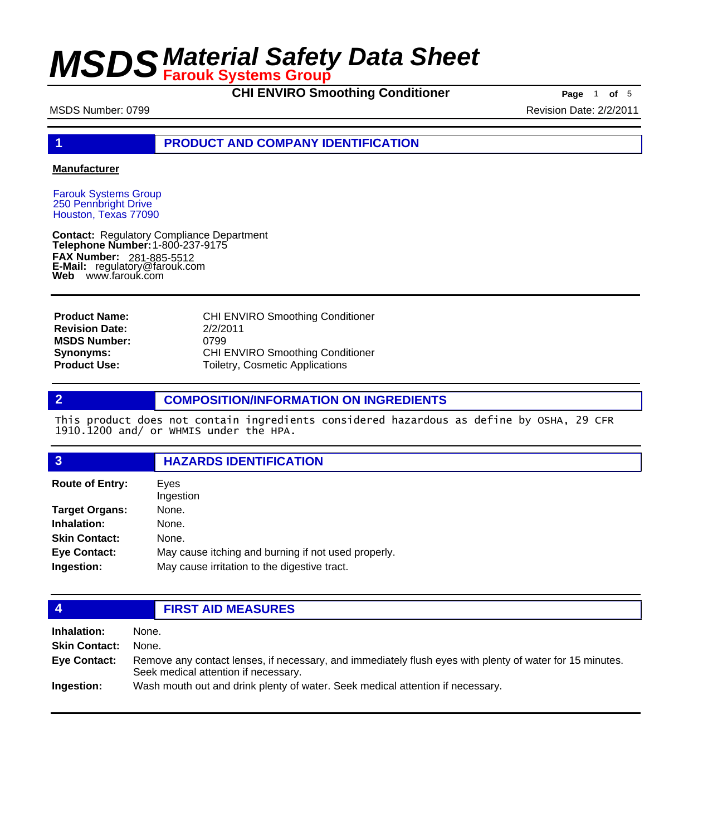**CHI ENVIRO Smoothing Conditioner Page** 1 of 5

MSDS Number: 0799 **Revision Date: 2/2/2011** 

**1 PRODUCT AND COMPANY IDENTIFICATION**

### **Manufacturer**

Farouk Systems Group 250 Pennbright Drive Houston, Texas 77090

**Contact: Telephone Number: FAX Number: FAX Number:** 281-885-5512<br>**E-Mail:** regulatory@farouk.com **Web** www.farouk.com Regulatory Compliance Department 1-800-237-9175

**Product Name: Revision Date: MSDS Number: Synonyms: Product Use:**

CHI ENVIRO Smoothing Conditioner 2/2/2011 0799 CHI ENVIRO Smoothing Conditioner Toiletry, Cosmetic Applications

## **2 COMPOSITION/INFORMATION ON INGREDIENTS**

This product does not contain ingredients considered hazardous as define by OSHA, 29 CFR 1910.1200 and/ or WHMIS under the HPA.

## **3 HAZARDS IDENTIFICATION**

| <b>Route of Entry:</b> | Eves<br>Ingestion                                   |
|------------------------|-----------------------------------------------------|
| <b>Target Organs:</b>  | None.                                               |
| Inhalation:            | None.                                               |
| <b>Skin Contact:</b>   | None.                                               |
| <b>Eye Contact:</b>    | May cause itching and burning if not used properly. |
| Ingestion:             | May cause irritation to the digestive tract.        |

## **4 FIRST AID MEASURES**

| Inhalation:          | None.                                                                                                                                            |
|----------------------|--------------------------------------------------------------------------------------------------------------------------------------------------|
| <b>Skin Contact:</b> | None.                                                                                                                                            |
| Eye Contact:         | Remove any contact lenses, if necessary, and immediately flush eyes with plenty of water for 15 minutes.<br>Seek medical attention if necessary. |
| <b>Ingestion:</b>    | Wash mouth out and drink plenty of water. Seek medical attention if necessary.                                                                   |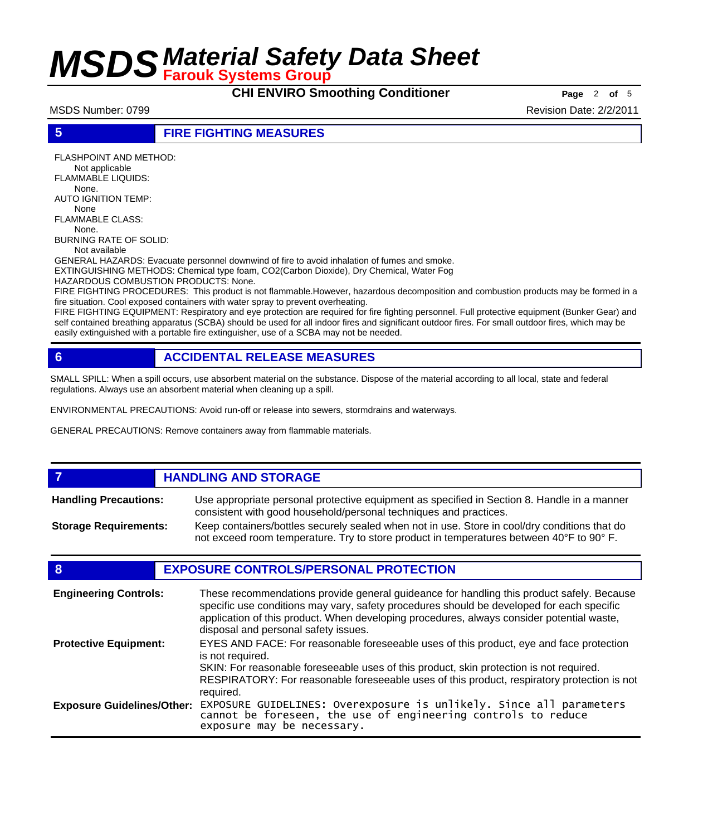**CHI ENVIRO Smoothing Conditioner Page** 2 of 5

MSDS Number: 0799 **Revision Date: 2/2/2011** 

## **5 FIRE FIGHTING MEASURES**

FLASHPOINT AND METHOD: Not applicable FLAMMABLE LIQUIDS: None. AUTO IGNITION TEMP: None FLAMMABLE CLASS:

 None. BURNING RATE OF SOLID:

Not available

GENERAL HAZARDS: Evacuate personnel downwind of fire to avoid inhalation of fumes and smoke. EXTINGUISHING METHODS: Chemical type foam, CO2(Carbon Dioxide), Dry Chemical, Water Fog

HAZARDOUS COMBUSTION PRODUCTS: None.

FIRE FIGHTING PROCEDURES: This product is not flammable.However, hazardous decomposition and combustion products may be formed in a fire situation. Cool exposed containers with water spray to prevent overheating.

FIRE FIGHTING EQUIPMENT: Respiratory and eye protection are required for fire fighting personnel. Full protective equipment (Bunker Gear) and self contained breathing apparatus (SCBA) should be used for all indoor fires and significant outdoor fires. For small outdoor fires, which may be easily extinguished with a portable fire extinguisher, use of a SCBA may not be needed.

# **6 ACCIDENTAL RELEASE MEASURES**

SMALL SPILL: When a spill occurs, use absorbent material on the substance. Dispose of the material according to all local, state and federal regulations. Always use an absorbent material when cleaning up a spill.

ENVIRONMENTAL PRECAUTIONS: Avoid run-off or release into sewers, stormdrains and waterways.

GENERAL PRECAUTIONS: Remove containers away from flammable materials.

### *HANDLING AND STORAGE* Use appropriate personal protective equipment as specified in Section 8. Handle in a manner consistent with good household/personal techniques and practices. **Handling Precautions:** Keep containers/bottles securely sealed when not in use. Store in cool/dry conditions that do not exceed room temperature. Try to store product in temperatures between 40°F to 90° F. **Storage Requirements:**

# **8 EXPOSURE CONTROLS/PERSONAL PROTECTION**

| <b>Engineering Controls:</b>      | These recommendations provide general guideance for handling this product safely. Because<br>specific use conditions may vary, safety procedures should be developed for each specific<br>application of this product. When developing procedures, always consider potential waste,<br>disposal and personal safety issues. |
|-----------------------------------|-----------------------------------------------------------------------------------------------------------------------------------------------------------------------------------------------------------------------------------------------------------------------------------------------------------------------------|
| <b>Protective Equipment:</b>      | EYES AND FACE: For reasonable foreseeable uses of this product, eye and face protection<br>is not required.<br>SKIN: For reasonable foreseeable uses of this product, skin protection is not required.<br>RESPIRATORY: For reasonable foreseeable uses of this product, respiratory protection is not<br>required.          |
| <b>Exposure Guidelines/Other:</b> | EXPOSURE GUIDELINES: Overexposure is unlikely. Since all parameters cannot be foreseen, the use of engineering controls to reduce<br>exposure may be necessary.                                                                                                                                                             |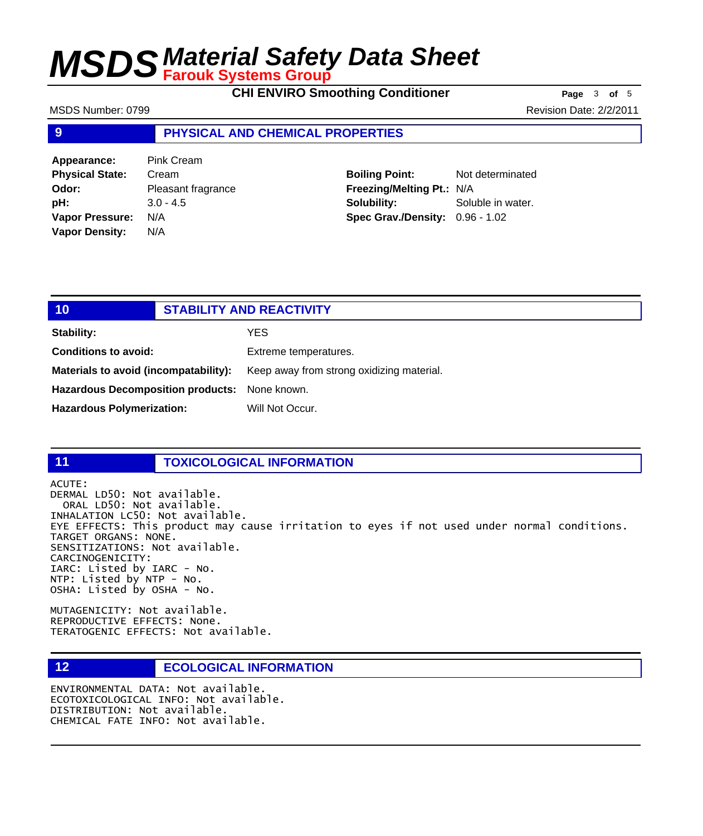**CHI ENVIRO Smoothing Conditioner Page** 3 of 5

MSDS Number: 0799 **Revision Date: 2/2/2011** 

## **9 PHYSICAL AND CHEMICAL PROPERTIES**

| Appearance:            | <b>Pink Cream</b>  |
|------------------------|--------------------|
| <b>Physical State:</b> | Cream              |
| Odor:                  | Pleasant fragrance |
| pH:                    | $3.0 - 4.5$        |
| Vapor Pressure:        | N/A                |
| <b>Vapor Density:</b>  | N/A                |

**Boiling Point:** Not determinated **Freezing/Melting Pt.:** N/A **Solubility:** Soluble in water. **Spec Grav./Density:** 0.96 - 1.02

# **10 STABILITY AND REACTIVITY Stability:** YES **Conditions to avoid:** Extreme temperatures. Materials to avoid (incompatability): Keep away from strong oxidizing material. **Hazardous Decomposition products:** None known.

Hazardous Polymerization: Will Not Occur.

# **11 TOXICOLOGICAL INFORMATION**

ACUTE: DERMAL LD50: Not available. ORAL LD50: Not available. INHALATION LC50: Not available. EYE EFFECTS: This product may cause irritation to eyes if not used under normal conditions. TARGET ORGANS: NONE. SENSITIZATIONS: Not available. CARCINOGENICITY: IARC: Listed by IARC - No. NTP: Listed by NTP - No. OSHA: Listed by OSHA - No.

MUTAGENICITY: Not available. REPRODUCTIVE EFFECTS: None. TERATOGENIC EFFECTS: Not available.

# **12 ECOLOGICAL INFORMATION**

ENVIRONMENTAL DATA: Not available. ECOTOXICOLOGICAL INFO: Not available. DISTRIBUTION: Not available. CHEMICAL FATE INFO: Not available.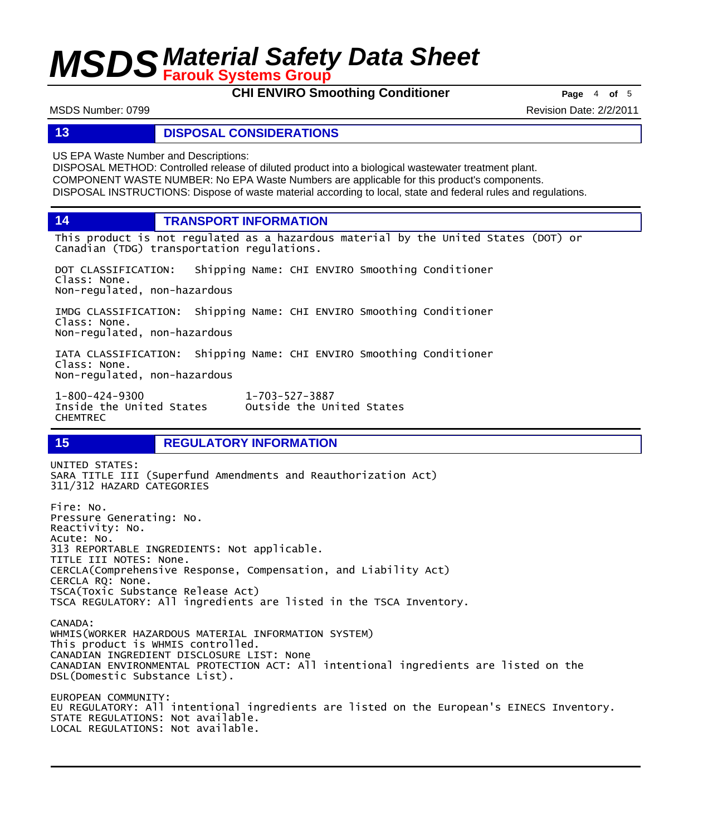**CHI ENVIRO Smoothing Conditioner Page** 4 of 5

MSDS Number: 0799 **Revision Date: 2/2/2011** 

## **13 DISPOSAL CONSIDERATIONS**

US EPA Waste Number and Descriptions:

DISPOSAL METHOD: Controlled release of diluted product into a biological wastewater treatment plant. COMPONENT WASTE NUMBER: No EPA Waste Numbers are applicable for this product's components. DISPOSAL INSTRUCTIONS: Dispose of waste material according to local, state and federal rules and regulations.

**14 TRANSPORT INFORMATION**

This product is not regulated as a hazardous material by the United States (DOT) or Canadian (TDG) transportation regulations.

DOT CLASSIFICATION: Shipping Name: CHI ENVIRO Smoothing Conditioner Class: None. Non-regulated, non-hazardous

IMDG CLASSIFICATION: Shipping Name: CHI ENVIRO Smoothing Conditioner Class: None. Non-regulated, non-hazardous

IATA CLASSIFICATION: Shipping Name: CHI ENVIRO Smoothing Conditioner Class: None. Non-regulated, non-hazardous

1-800-424-9300 1-703-527-3887 Outside the United States CHEMTREC

## **15 REGULATORY INFORMATION**

UNITED STATES: SARA TITLE III (Superfund Amendments and Reauthorization Act) 311/312 HAZARD CATEGORIES Fire: No. Pressure Generating: No. Reactivity: No. Acute: No. 313 REPORTABLE INGREDIENTS: Not applicable. TITLE III NOTES: None. CERCLA(Comprehensive Response, Compensation, and Liability Act) CERCLA RQ: None. TSCA(Toxic Substance Release Act) TSCA REGULATORY: All ingredients are listed in the TSCA Inventory. CANADA: WHMIS(WORKER HAZARDOUS MATERIAL INFORMATION SYSTEM) This product is WHMIS controlled. CANADIAN INGREDIENT DISCLOSURE LIST: None CANADIAN ENVIRONMENTAL PROTECTION ACT: All intentional ingredients are listed on the DSL(Domestic Substance List). EUROPEAN COMMUNITY: EU REGULATORY: All intentional ingredients are listed on the European's EINECS Inventory. STATE REGULATIONS: Not available. LOCAL REGULATIONS: Not available.